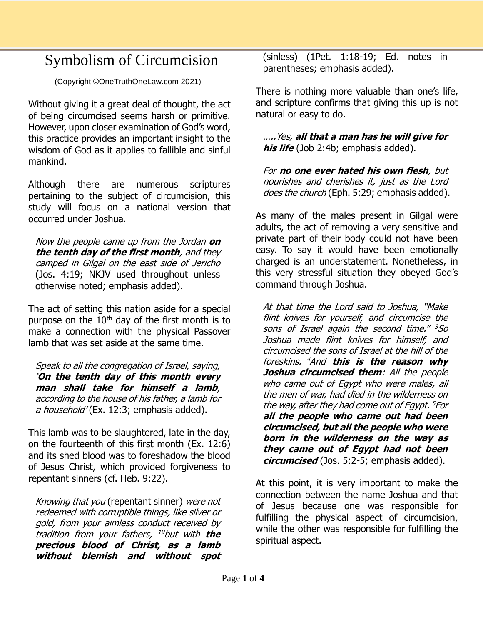## Symbolism of Circumcision

(Copyright ©OneTruthOneLaw.com 2021)

Without giving it a great deal of thought, the act of being circumcised seems harsh or primitive. However, upon closer examination of God's word, this practice provides an important insight to the wisdom of God as it applies to fallible and sinful mankind.

Although there are numerous scriptures pertaining to the subject of circumcision, this study will focus on a national version that occurred under Joshua.

Now the people came up from the Jordan **on the tenth day of the first month**, and they camped in Gilgal on the east side of Jericho (Jos. 4:19; NKJV used throughout unless otherwise noted; emphasis added).

The act of setting this nation aside for a special purpose on the  $10<sup>th</sup>$  day of the first month is to make a connection with the physical Passover lamb that was set aside at the same time.

Speak to all the congregation of Israel, saying, '**On the tenth day of this month every man shall take for himself a lamb**, according to the house of his father, a lamb for a household' (Ex. 12:3; emphasis added).

This lamb was to be slaughtered, late in the day, on the fourteenth of this first month (Ex. 12:6) and its shed blood was to foreshadow the blood of Jesus Christ, which provided forgiveness to repentant sinners (cf. Heb. 9:22).

Knowing that you (repentant sinner) were not redeemed with corruptible things, like silver or gold, from your aimless conduct received by tradition from your fathers, <sup>19</sup>but with **the precious blood of Christ, as a lamb without blemish and without spot**

(sinless) (1Pet. 1:18-19; Ed. notes in parentheses; emphasis added).

There is nothing more valuable than one's life, and scripture confirms that giving this up is not natural or easy to do.

…..Yes, **all that a man has he will give for his life** (Job 2:4b; emphasis added).

For **no one ever hated his own flesh**, but nourishes and cherishes it, just as the Lord does the church (Eph. 5:29; emphasis added).

As many of the males present in Gilgal were adults, the act of removing a very sensitive and private part of their body could not have been easy. To say it would have been emotionally charged is an understatement. Nonetheless, in this very stressful situation they obeyed God's command through Joshua.

At that time the Lord said to Joshua, "Make flint knives for yourself, and circumcise the sons of Israel again the second time." <sup>3</sup>So Joshua made flint knives for himself, and circumcised the sons of Israel at the hill of the foreskins. <sup>4</sup>And **this is the reason why Joshua circumcised them**: All the people who came out of Eqypt who were males, all the men of war, had died in the wilderness on the way, after they had come out of Egypt. <sup>5</sup> For **all the people who came out had been circumcised, but all the people who were born in the wilderness on the way as they came out of Egypt had not been circumcised** (Jos. 5:2-5; emphasis added).

At this point, it is very important to make the connection between the name Joshua and that of Jesus because one was responsible for fulfilling the physical aspect of circumcision, while the other was responsible for fulfilling the spiritual aspect.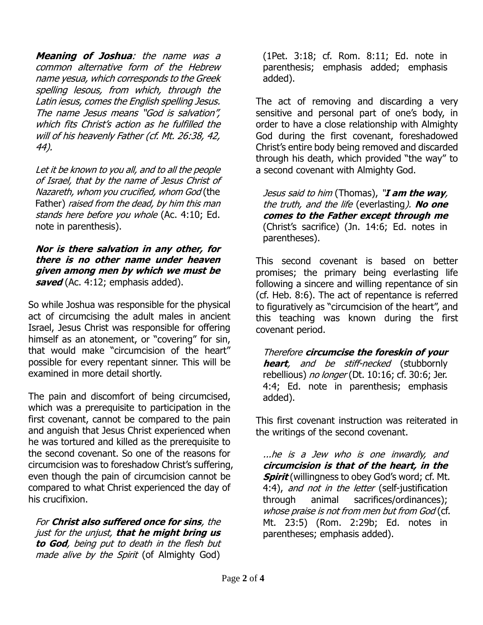**Meaning of Joshua**: the name was a common alternative form of the Hebrew name yesua, which corresponds to the Greek spelling lesous, from which, through the Latin iesus, comes the English spelling Jesus. The name Jesus means "God is salvation", which fits Christ's action as he fulfilled the will of his heavenly Father (cf. Mt. 26:38, 42, 44).

Let it be known to you all, and to all the people of Israel, that by the name of Jesus Christ of Nazareth, whom you crucified, whom God (the Father) raised from the dead, by him this man stands here before you whole (Ac. 4:10; Ed. note in parenthesis).

**Nor is there salvation in any other, for there is no other name under heaven given among men by which we must be saved** (Ac. 4:12; emphasis added).

So while Joshua was responsible for the physical act of circumcising the adult males in ancient Israel, Jesus Christ was responsible for offering himself as an atonement, or "covering" for sin, that would make "circumcision of the heart" possible for every repentant sinner. This will be examined in more detail shortly.

The pain and discomfort of being circumcised, which was a prerequisite to participation in the first covenant, cannot be compared to the pain and anguish that Jesus Christ experienced when he was tortured and killed as the prerequisite to the second covenant. So one of the reasons for circumcision was to foreshadow Christ's suffering, even though the pain of circumcision cannot be compared to what Christ experienced the day of his crucifixion.

For **Christ also suffered once for sins**, the just for the unjust, **that he might bring us to God**, being put to death in the flesh but made alive by the Spirit (of Almighty God)

(1Pet. 3:18; cf. Rom. 8:11; Ed. note in parenthesis; emphasis added; emphasis added).

The act of removing and discarding a very sensitive and personal part of one's body, in order to have a close relationship with Almighty God during the first covenant, foreshadowed Christ's entire body being removed and discarded through his death, which provided "the way" to a second covenant with Almighty God.

Jesus said to him (Thomas), "**I am the way**, the truth, and the life (everlasting). **No one comes to the Father except through me** (Christ's sacrifice) (Jn. 14:6; Ed. notes in parentheses).

This second covenant is based on better promises; the primary being everlasting life following a sincere and willing repentance of sin (cf. Heb. 8:6). The act of repentance is referred to figuratively as "circumcision of the heart", and this teaching was known during the first covenant period.

Therefore **circumcise the foreskin of your heart**, and be stiff-necked (stubbornly rebellious) no longer (Dt. 10:16; cf. 30:6; Jer. 4:4; Ed. note in parenthesis; emphasis added).

This first covenant instruction was reiterated in the writings of the second covenant.

...he is a Jew who is one inwardly, and **circumcision is that of the heart, in the Spirit** (willingness to obey God's word; cf. Mt. 4:4), and not in the letter (self-justification through animal sacrifices/ordinances); whose praise is not from men but from God (cf. Mt. 23:5) (Rom. 2:29b; Ed. notes in parentheses; emphasis added).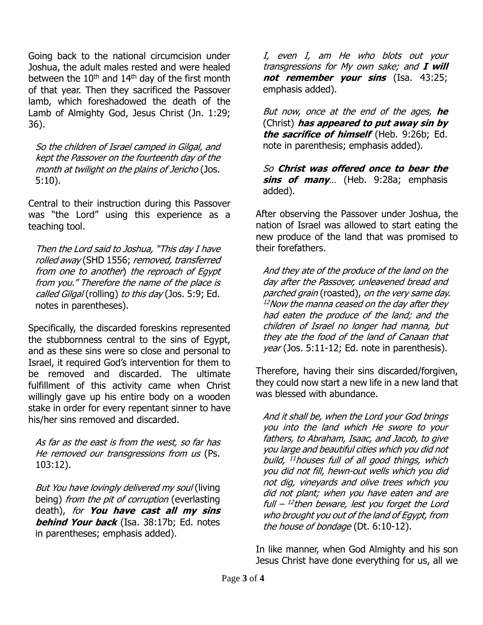Going back to the national circumcision under Joshua, the adult males rested and were healed between the  $10<sup>th</sup>$  and  $14<sup>th</sup>$  day of the first month of that year. Then they sacrificed the Passover lamb, which foreshadowed the death of the Lamb of Almighty God, Jesus Christ (Jn. 1:29; 36).

So the children of Israel camped in Gilgal, and kept the Passover on the fourteenth day of the month at twilight on the plains of Jericho (Jos. 5:10).

Central to their instruction during this Passover was "the Lord" using this experience as a teaching tool.

Then the Lord said to Joshua, "This day I have rolled away (SHD 1556; removed, transferred from one to another) the reproach of Egypt from you." Therefore the name of the place is called Gilgal (rolling) to this day (Jos. 5:9; Ed. notes in parentheses).

Specifically, the discarded foreskins represented the stubbornness central to the sins of Egypt, and as these sins were so close and personal to Israel, it required God's intervention for them to be removed and discarded. The ultimate fulfillment of this activity came when Christ willingly gave up his entire body on a wooden stake in order for every repentant sinner to have his/her sins removed and discarded.

As far as the east is from the west, so far has He removed our transgressions from us (Ps. 103:12).

But You have lovingly delivered my soul (living being) from the pit of corruption (everlasting death), for **You have cast all my sins behind Your back** (Isa. 38:17b; Ed. notes in parentheses; emphasis added).

I, even I, am He who blots out your transgressions for My own sake; and **I will not remember your sins** (Isa. 43:25; emphasis added).

But now, once at the end of the ages, **he** (Christ) **has appeared to put away sin by the sacrifice of himself** (Heb. 9:26b; Ed. note in parenthesis; emphasis added).

So **Christ was offered once to bear the sins of many**… (Heb. 9:28a; emphasis added).

After observing the Passover under Joshua, the nation of Israel was allowed to start eating the new produce of the land that was promised to their forefathers.

And they ate of the produce of the land on the day after the Passover, unleavened bread and parched grain (roasted), on the very same day.  $12$ Now the manna ceased on the day after they had eaten the produce of the land; and the children of Israel no longer had manna, but they ate the food of the land of Canaan that year (Jos. 5:11-12; Ed. note in parenthesis).

Therefore, having their sins discarded/forgiven, they could now start a new life in a new land that was blessed with abundance.

And it shall be, when the Lord your God brings you into the land which He swore to your fathers, to Abraham, Isaac, and Jacob, to give you large and beautiful cities which you did not build, <sup>11</sup>houses full of all good things, which you did not fill, hewn-out wells which you did not dig, vineyards and olive trees which you did not plant; when you have eaten and are full – 12 then beware, lest you forget the Lord who brought you out of the land of Egypt, from the house of bondage (Dt. 6:10-12).

In like manner, when God Almighty and his son Jesus Christ have done everything for us, all we